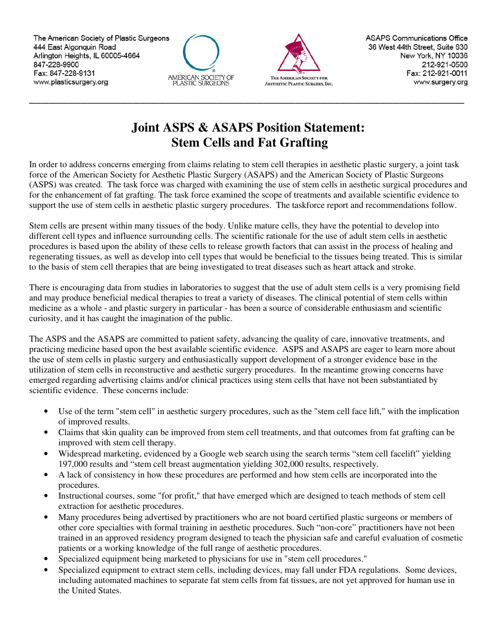The American Society of Plastic Surgeons 444 East Algonguin Road Arlington Heights, IL 60005-4664 847-228-9900 Fax: 847-228-9131 www.plasticsurgery.org





## **Joint ASPS & ASAPS Position Statement: Stem Cells and Fat Grafting**

**\_\_\_\_\_\_\_\_\_\_\_\_\_\_\_\_\_\_\_\_\_\_\_\_\_\_\_\_\_\_\_\_\_\_\_\_\_\_\_\_\_\_\_\_\_\_\_\_\_\_\_\_\_\_\_\_\_\_\_\_\_\_\_\_\_\_\_**

In order to address concerns emerging from claims relating to stem cell therapies in aesthetic plastic surgery, a joint task force of the American Society for Aesthetic Plastic Surgery (ASAPS) and the American Society of Plastic Surgeons (ASPS) was created. The task force was charged with examining the use of stem cells in aesthetic surgical procedures and for the enhancement of fat grafting. The task force examined the scope of treatments and available scientific evidence to support the use of stem cells in aesthetic plastic surgery procedures. The taskforce report and recommendations follow.

Stem cells are present within many tissues of the body. Unlike mature cells, they have the potential to develop into different cell types and influence surrounding cells. The scientific rationale for the use of adult stem cells in aesthetic procedures is based upon the ability of these cells to release growth factors that can assist in the process of healing and regenerating tissues, as well as develop into cell types that would be beneficial to the tissues being treated. This is similar to the basis of stem cell therapies that are being investigated to treat diseases such as heart attack and stroke.

There is encouraging data from studies in laboratories to suggest that the use of adult stem cells is a very promising field and may produce beneficial medical therapies to treat a variety of diseases. The clinical potential of stem cells within medicine as a whole - and plastic surgery in particular - has been a source of considerable enthusiasm and scientific curiosity, and it has caught the imagination of the public.

The ASPS and the ASAPS are committed to patient safety, advancing the quality of care, innovative treatments, and practicing medicine based upon the best available scientific evidence. ASPS and ASAPS are eager to learn more about the use of stem cells in plastic surgery and enthusiastically support development of a stronger evidence base in the utilization of stem cells in reconstructive and aesthetic surgery procedures. In the meantime growing concerns have emerged regarding advertising claims and/or clinical practices using stem cells that have not been substantiated by scientific evidence. These concerns include:

- Use of the term "stem cell" in aesthetic surgery procedures, such as the "stem cell face lift," with the implication of improved results.
- Claims that skin quality can be improved from stem cell treatments, and that outcomes from fat grafting can be improved with stem cell therapy.
- Widespread marketing, evidenced by a Google web search using the search terms "stem cell facelift" yielding 197,000 results and "stem cell breast augmentation yielding 302,000 results, respectively.
- A lack of consistency in how these procedures are performed and how stem cells are incorporated into the procedures.
- Instructional courses, some "for profit," that have emerged which are designed to teach methods of stem cell extraction for aesthetic procedures.
- Many procedures being advertised by practitioners who are not board certified plastic surgeons or members of other core specialties with formal training in aesthetic procedures. Such "non-core" practitioners have not been trained in an approved residency program designed to teach the physician safe and careful evaluation of cosmetic patients or a working knowledge of the full range of aesthetic procedures.
- Specialized equipment being marketed to physicians for use in "stem cell procedures."
- Specialized equipment to extract stem cells, including devices, may fall under FDA regulations. Some devices, including automated machines to separate fat stem cells from fat tissues, are not yet approved for human use in the United States.